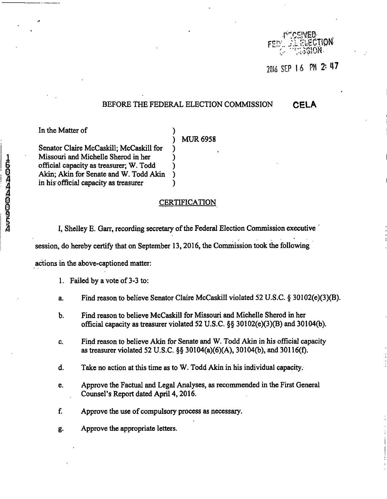

2016 SEP 16 PM 2: 47

## **BEFORE THE FEDERAL ELECTION COMMISSION CELA**

In the Matter of

## **MUR6958**

Senator Claire McCaskill; McCaskill for ) Missouri and Michelle Sherod in her ) official capacity as treasurer; W. Todd ) Akin; Akin for Senate and W. Todd Akin ) in his official capacity as treasurer (a)

## i<br>discrete contraction contraction contraction of the contraction of the contraction of the contraction of the c<br>discrete contract of the contract of the contract of the contract of the contract of the contract of the cont

I, Shelley E. Garr, recording secretary of the Federal Election Commission executive

session, do hereby certify that on September 13,2016, the Commission took the following

actions in the above-captioned matter:

- 1. Failed by a vote of 3-3 to;
- a. Find reason to believe Senator Claire McCaskill violated 52 U.S.C. § 30102(e)(3)(B).
- b. Find reason to believe McCaskill for Missouri and Michelle Sherod in her official capacity as treasurer violated 52 U.S.C. §§ 30102(e)(3)(B) and 30104(b).
- c. Find reason to believe Akin for Senate and W. Todd Akin in his official capacity as treasurer violated 52 U.S.C. §§ 30104(a)(6)(A), 30104(b), and 30116(f).
- d. Take no action at this time as to W. Todd Akin in his individual capacity.
- e. Approve the Factual and Legal Analyses, as recommended in the First General Counsel's Report dated April 4,2016.
- f. Approve the use of compulsory process as necessary.
- g. Approve the appropriate letters.